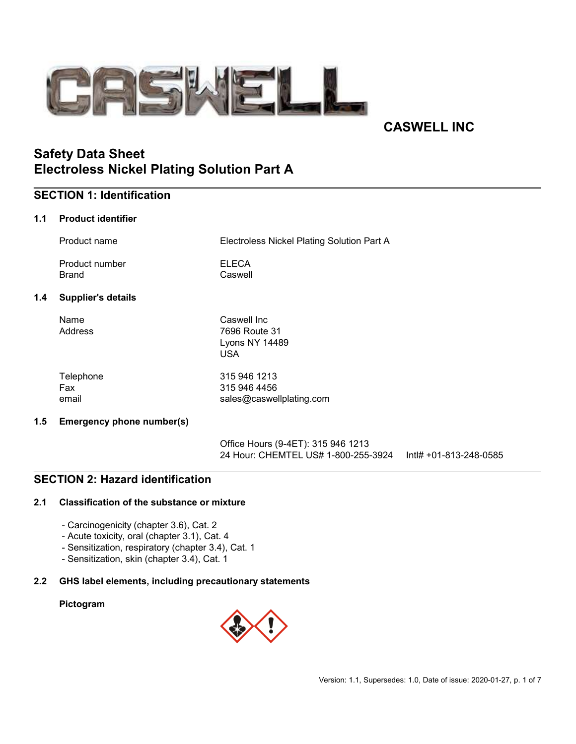

# CASWELL INC

# Safety Data Sheet Electroless Nickel Plating Solution Part A

# SECTION 1: Identification

### 1.1 Product identifier

|     | Product name                     | Electroless Nickel Plating Solution Part A               |
|-----|----------------------------------|----------------------------------------------------------|
|     | Product number<br>Brand          | <b>ELECA</b><br>Caswell                                  |
| 1.4 | <b>Supplier's details</b>        |                                                          |
|     | Name<br>Address                  | Caswell Inc<br>7696 Route 31<br>Lyons NY 14489<br>USA    |
|     | Telephone<br>Fax<br>email        | 315 946 1213<br>315 946 4456<br>sales@caswellplating.com |
| 1.5 | <b>Emergency phone number(s)</b> |                                                          |

Office Hours (9-4ET): 315 946 1213 24 Hour: CHEMTEL US# 1-800-255-3924 Intl# +01-813-248-0585

### SECTION 2: Hazard identification

### 2.1 Classification of the substance or mixture

- Carcinogenicity (chapter 3.6), Cat. 2
- Acute toxicity, oral (chapter 3.1), Cat. 4
- Sensitization, respiratory (chapter 3.4), Cat. 1
- Sensitization, skin (chapter 3.4), Cat. 1

#### 2.2 GHS label elements, including precautionary statements

#### Pictogram

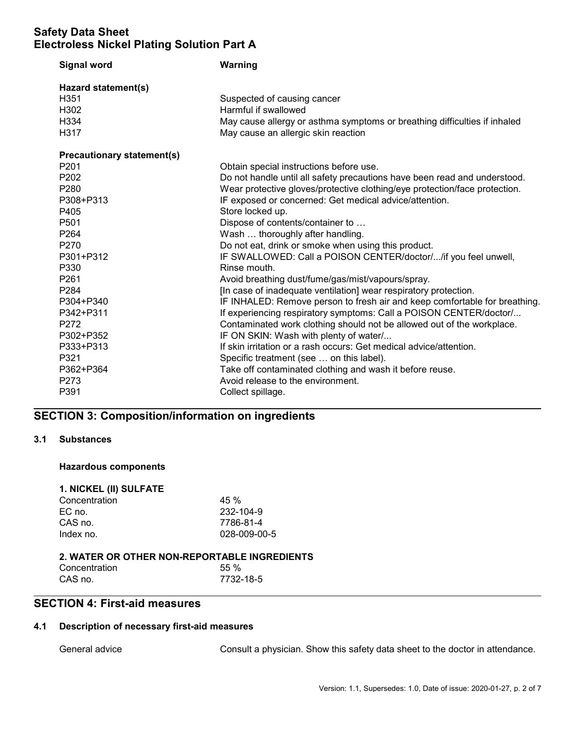| <b>Signal word</b>                | Warning                                                                    |  |  |
|-----------------------------------|----------------------------------------------------------------------------|--|--|
| Hazard statement(s)               |                                                                            |  |  |
| H351                              | Suspected of causing cancer                                                |  |  |
| H302                              | Harmful if swallowed                                                       |  |  |
| H334                              | May cause allergy or asthma symptoms or breathing difficulties if inhaled  |  |  |
| H317                              | May cause an allergic skin reaction                                        |  |  |
| <b>Precautionary statement(s)</b> |                                                                            |  |  |
| P <sub>201</sub>                  | Obtain special instructions before use.                                    |  |  |
| P <sub>202</sub>                  | Do not handle until all safety precautions have been read and understood.  |  |  |
| P280                              | Wear protective gloves/protective clothing/eye protection/face protection. |  |  |
| P308+P313                         | IF exposed or concerned: Get medical advice/attention.                     |  |  |
| P405                              | Store locked up.                                                           |  |  |
| P501                              | Dispose of contents/container to                                           |  |  |
| P <sub>264</sub>                  | Wash  thoroughly after handling.                                           |  |  |
| P <sub>270</sub>                  | Do not eat, drink or smoke when using this product.                        |  |  |
| P301+P312                         | IF SWALLOWED: Call a POISON CENTER/doctor//if you feel unwell,             |  |  |
| P330                              | Rinse mouth.                                                               |  |  |
| P261                              | Avoid breathing dust/fume/gas/mist/vapours/spray.                          |  |  |
| P284                              | [In case of inadequate ventilation] wear respiratory protection.           |  |  |
| P304+P340                         | IF INHALED: Remove person to fresh air and keep comfortable for breathing. |  |  |
| P342+P311                         | If experiencing respiratory symptoms: Call a POISON CENTER/doctor/         |  |  |
| P272                              | Contaminated work clothing should not be allowed out of the workplace.     |  |  |
| P302+P352                         | IF ON SKIN: Wash with plenty of water/                                     |  |  |
| P333+P313                         | If skin irritation or a rash occurs: Get medical advice/attention.         |  |  |
| P321                              | Specific treatment (see  on this label).                                   |  |  |
| P362+P364                         | Take off contaminated clothing and wash it before reuse.                   |  |  |
| P273                              | Avoid release to the environment.                                          |  |  |
| P391                              | Collect spillage.                                                          |  |  |

# SECTION 3: Composition/information on ingredients

### 3.1 Substances

### Hazardous components 1. NICKEL (III) SULFATE

| <b>1. NICKEL (II) SULFATE</b> |              |  |  |
|-------------------------------|--------------|--|--|
| Concentration                 | 45%          |  |  |
| EC no.                        | 232-104-9    |  |  |
| CAS no.                       | 7786-81-4    |  |  |
| Index no.                     | 028-009-00-5 |  |  |
|                               |              |  |  |

#### 2. WATER OR OTHER NON-REPORTABLE INGREDIENTS Concentration 55 %<br>CAS no. 67732-CAS no. 7732-18-5

### SECTION 4: First-aid measures

### 4.1 Description of necessary first-aid measures

General advice **Consult a physician.** Show this safety data sheet to the doctor in attendance.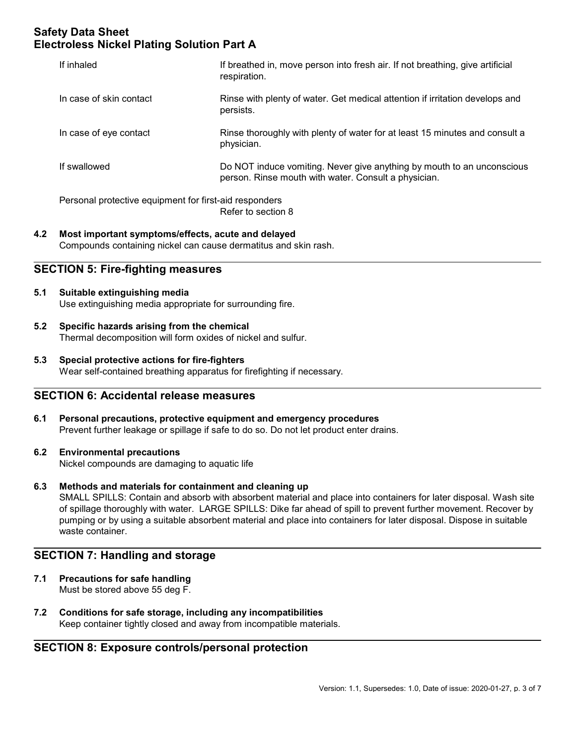| If inhaled                                             | If breathed in, move person into fresh air. If not breathing, give artificial<br>respiration.                                  |  |  |  |
|--------------------------------------------------------|--------------------------------------------------------------------------------------------------------------------------------|--|--|--|
| In case of skin contact                                | Rinse with plenty of water. Get medical attention if irritation develops and<br>persists.                                      |  |  |  |
| In case of eye contact                                 | Rinse thoroughly with plenty of water for at least 15 minutes and consult a<br>physician.                                      |  |  |  |
| If swallowed                                           | Do NOT induce vomiting. Never give anything by mouth to an unconscious<br>person. Rinse mouth with water. Consult a physician. |  |  |  |
| Personal protective equipment for first-aid responders |                                                                                                                                |  |  |  |

Refer to section 8

#### 4.2 Most important symptoms/effects, acute and delayed Compounds containing nickel can cause dermatitus and skin rash.

# SECTION 5: Fire-fighting measures

- 5.1 Suitable extinguishing media Use extinguishing media appropriate for surrounding fire.
- 5.2 Specific hazards arising from the chemical Thermal decomposition will form oxides of nickel and sulfur.
- 5.3 Special protective actions for fire-fighters Wear self-contained breathing apparatus for firefighting if necessary.

### SECTION 6: Accidental release measures

- 6.1 Personal precautions, protective equipment and emergency procedures Prevent further leakage or spillage if safe to do so. Do not let product enter drains.
- 6.2 Environmental precautions

Nickel compounds are damaging to aquatic life

6.3 Methods and materials for containment and cleaning up

SMALL SPILLS: Contain and absorb with absorbent material and place into containers for later disposal. Wash site of spillage thoroughly with water. LARGE SPILLS: Dike far ahead of spill to prevent further movement. Recover by pumping or by using a suitable absorbent material and place into containers for later disposal. Dispose in suitable waste container.

### SECTION 7: Handling and storage

- 7.1 Precautions for safe handling Must be stored above 55 deg F.
- 7.2 Conditions for safe storage, including any incompatibilities Keep container tightly closed and away from incompatible materials.

### SECTION 8: Exposure controls/personal protection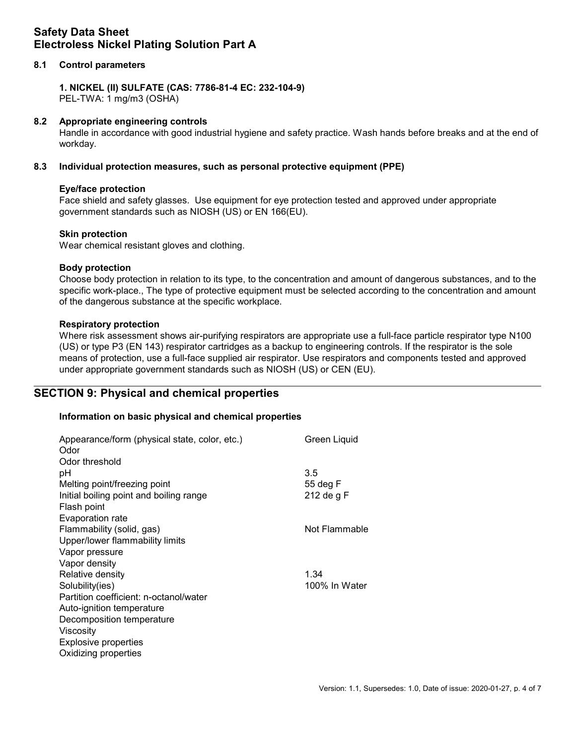### 8.1 Control parameters

1. NICKEL (II) SULFATE (CAS: 7786-81-4 EC: 232-104-9) PEL-TWA: 1 mg/m3 (OSHA)

#### 8.2 Appropriate engineering controls

Handle in accordance with good industrial hygiene and safety practice. Wash hands before breaks and at the end of workday.

#### 8.3 Individual protection measures, such as personal protective equipment (PPE)

#### Eye/face protection

Face shield and safety glasses. Use equipment for eye protection tested and approved under appropriate government standards such as NIOSH (US) or EN 166(EU).

#### Skin protection

Wear chemical resistant gloves and clothing.

#### Body protection

Choose body protection in relation to its type, to the concentration and amount of dangerous substances, and to the specific work-place., The type of protective equipment must be selected according to the concentration and amount of the dangerous substance at the specific workplace.

#### Respiratory protection

Where risk assessment shows air-purifying respirators are appropriate use a full-face particle respirator type N100 (US) or type P3 (EN 143) respirator cartridges as a backup to engineering controls. If the respirator is the sole means of protection, use a full-face supplied air respirator. Use respirators and components tested and approved under appropriate government standards such as NIOSH (US) or CEN (EU).

### SECTION 9: Physical and chemical properties

#### Information on basic physical and chemical properties

| Appearance/form (physical state, color, etc.)<br>Odor<br>Odor threshold | Green Liquid  |
|-------------------------------------------------------------------------|---------------|
| рH                                                                      | 3.5           |
| Melting point/freezing point                                            | 55 deg F      |
| Initial boiling point and boiling range                                 | 212 de g F    |
| Flash point                                                             |               |
| Evaporation rate                                                        |               |
| Flammability (solid, gas)                                               | Not Flammable |
| Upper/lower flammability limits                                         |               |
| Vapor pressure                                                          |               |
| Vapor density                                                           |               |
| Relative density                                                        | 1.34          |
| Solubility(ies)                                                         | 100% In Water |
| Partition coefficient: n-octanol/water                                  |               |
| Auto-ignition temperature                                               |               |
| Decomposition temperature                                               |               |
| Viscosity                                                               |               |
| <b>Explosive properties</b>                                             |               |
| Oxidizing properties                                                    |               |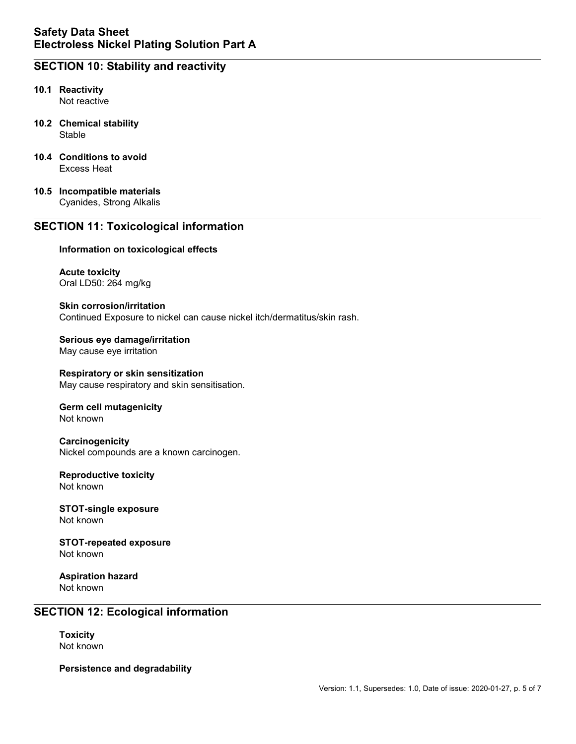# SECTION 10: Stability and reactivity

- 10.1 Reactivity Not reactive
- 10.2 Chemical stability Stable
- 10.4 Conditions to avoid Excess Heat
- 10.5 Incompatible materials Cyanides, Strong Alkalis

### SECTION 11: Toxicological information

#### Information on toxicological effects

Acute toxicity Oral LD50: 264 mg/kg

Skin corrosion/irritation Continued Exposure to nickel can cause nickel itch/dermatitus/skin rash.

Serious eye damage/irritation May cause eye irritation

Respiratory or skin sensitization May cause respiratory and skin sensitisation.

#### Germ cell mutagenicity Not known

**Carcinogenicity** Nickel compounds are a known carcinogen.

#### Reproductive toxicity Not known

STOT-single exposure Not known

STOT-repeated exposure Not known

Aspiration hazard Not known

### SECTION 12: Ecological information

**Toxicity** Not known

Persistence and degradability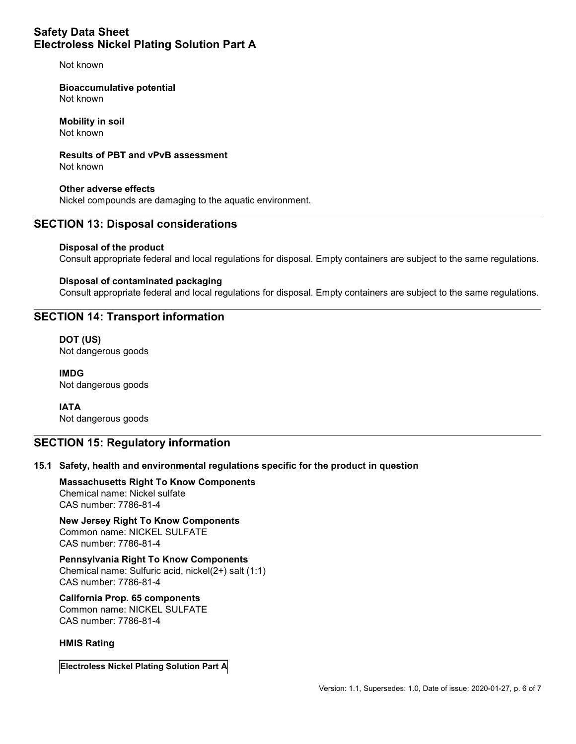Not known

Bioaccumulative potential Not known

Mobility in soil Not known

Results of PBT and vPvB assessment

Not known

Other adverse effects Nickel compounds are damaging to the aquatic environment.

# SECTION 13: Disposal considerations

### Disposal of the product

Consult appropriate federal and local regulations for disposal. Empty containers are subject to the same regulations.

### Disposal of contaminated packaging

Consult appropriate federal and local regulations for disposal. Empty containers are subject to the same regulations.

# SECTION 14: Transport information

DOT (US) Not dangerous goods

IMDG Not dangerous goods

IATA Not dangerous goods

### SECTION 15: Regulatory information

### 15.1 Safety, health and environmental regulations specific for the product in question

Massachusetts Right To Know Components Chemical name: Nickel sulfate CAS number: 7786-81-4

New Jersey Right To Know Components Common name: NICKEL SULFATE CAS number: 7786-81-4

Pennsylvania Right To Know Components Chemical name: Sulfuric acid, nickel(2+) salt (1:1) CAS number: 7786-81-4

California Prop. 65 components Common name: NICKEL SULFATE CAS number: 7786-81-4

### HMIS Rating

Electroless Nickel Plating Solution Part A